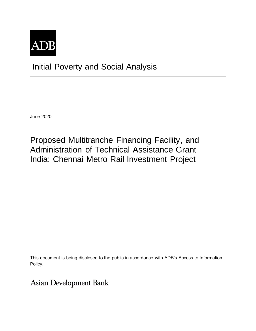

Initial Poverty and Social Analysis

June 2020

Proposed Multitranche Financing Facility, and Administration of Technical Assistance Grant India: Chennai Metro Rail Investment Project

This document is being disclosed to the public in accordance with ADB's Access to Information Policy.

**Asian Development Bank**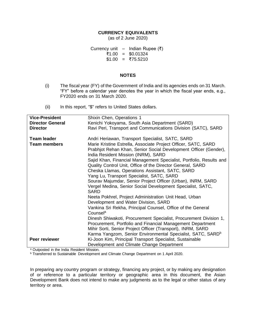# **CURRENCY EQUIVALENTS**

(as of 2 June 2020)

Currency unit – Indian Rupee  $(3)$ ₹1.00 = \$0.01324  $$1.00 = ₹75.5210$ 

## **NOTES**

- (i) The fiscal year (FY) of the Government of India and its agencies ends on 31 March. "FY" before a calendar year denotes the year in which the fiscal year ends, e.g., FY2020 ends on 31 March 2020.
- (ii) In this report, "\$" refers to United States dollars.

| <b>Vice-President</b>   | Shixin Chen, Operations 1                                                                               |  |  |
|-------------------------|---------------------------------------------------------------------------------------------------------|--|--|
| <b>Director General</b> | Kenichi Yokoyama, South Asia Department (SARD)                                                          |  |  |
| <b>Director</b>         | Ravi Peri, Transport and Communications Division (SATC), SARD                                           |  |  |
|                         |                                                                                                         |  |  |
| <b>Team leader</b>      | Andri Heriawan, Transport Specialist, SATC, SARD                                                        |  |  |
| <b>Team members</b>     | Marie Kristine Estrella, Associate Project Officer, SATC, SARD                                          |  |  |
|                         | Prabhjot Rehan Khan, Senior Social Development Officer (Gender),<br>India Resident Mission (INRM), SARD |  |  |
|                         | Sajid Khan, Financial Management Specialist, Portfolio, Results and                                     |  |  |
|                         | Quality Control Unit, Office of the Director General, SARD                                              |  |  |
|                         | Cheska Llamas, Operations Assistant, SATC, SARD                                                         |  |  |
|                         | Yang Lu, Transport Specialist, SATC, SARD                                                               |  |  |
|                         | Sourav Majumdar, Senior Project Officer (Urban), INRM, SARD                                             |  |  |
|                         | Vergel Medina, Senior Social Development Specialist, SATC,                                              |  |  |
|                         | <b>SARD</b>                                                                                             |  |  |
|                         | Neeta Pokhrel, Project Administration Unit Head, Urban                                                  |  |  |
|                         | Development and Water Division, SARD                                                                    |  |  |
|                         | Vankina Sri Rekha, Principal Counsel, Office of the General                                             |  |  |
|                         | Counsel <sup>a</sup>                                                                                    |  |  |
|                         | Dinesh Shiwakoti, Procurement Specialist, Procurement Division 1,                                       |  |  |
|                         | Procurement, Portfolio and Financial Management Department                                              |  |  |
|                         | Mihir Sorti, Senior Project Officer (Transport), INRM, SARD                                             |  |  |
|                         | Karma Yangzom, Senior Environmental Specialist, SATC, SARD <sup>b</sup>                                 |  |  |
| Peer reviewer           | Ki-Joon Kim, Principal Transport Specialist, Sustainable                                                |  |  |
|                         |                                                                                                         |  |  |
|                         | Development and Climate Change Department                                                               |  |  |

a Outposted in the India Resident Mission.

<sup>b</sup> Transferred to Sustainable Development and Climate Change Department on 1 April 2020.

In preparing any country program or strategy, financing any project, or by making any designation of or reference to a particular territory or geographic area in this document, the Asian Development Bank does not intend to make any judgments as to the legal or other status of any territory or area.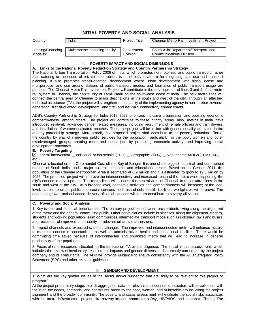| Country:                       | India                                                                                                                                                                                | Project Title:           | Chennai Metro Rail Investment Project                                                                                                                                                                                                                                                                                                                                                                                                                                                                                                                                                                                                                                                                                                                                                                                                                                                                                                                       |
|--------------------------------|--------------------------------------------------------------------------------------------------------------------------------------------------------------------------------------|--------------------------|-------------------------------------------------------------------------------------------------------------------------------------------------------------------------------------------------------------------------------------------------------------------------------------------------------------------------------------------------------------------------------------------------------------------------------------------------------------------------------------------------------------------------------------------------------------------------------------------------------------------------------------------------------------------------------------------------------------------------------------------------------------------------------------------------------------------------------------------------------------------------------------------------------------------------------------------------------------|
| Lending/Financing<br>Modality: | Multitranche financing facility                                                                                                                                                      | Department/<br>Division: | South Asia Department/Transport and<br><b>Communications Division</b>                                                                                                                                                                                                                                                                                                                                                                                                                                                                                                                                                                                                                                                                                                                                                                                                                                                                                       |
|                                | <b>POVERTY IMPACT AND SOCIAL DIMENSIONS</b>                                                                                                                                          |                          |                                                                                                                                                                                                                                                                                                                                                                                                                                                                                                                                                                                                                                                                                                                                                                                                                                                                                                                                                             |
|                                | A. Links to the National Poverty Reduction Strategy and Country Partnership Strategy<br>generation, transit-oriented development, and first- and last-mile connectivity enhancement. |                          | The National Urban Transportation Policy 2006 of India, which promotes nonmotorized and public transport, rather<br>than catering to the needs of private automobiles, is an effective platform for integrating land use and transport<br>planning. It also promotes transit-oriented development where urban development with highly dense and<br>multipurpose land use around stations of public transport modes, and facilitation of public transport usage are<br>pursued. The Chennai Metro Rail Investment Project will contribute in the development of lines 3 and 4 of the metro<br>rail system in Chennai, the capital city of Tamil Nadu on the south-east coast of India. The new metro lines will<br>connect the central area of Chennai to major destinations in the south and west of the city. Through an attached<br>technical assistance (TA), the project will strengthen the capacity of the implementing agency in non-farebox revenue |
|                                |                                                                                                                                                                                      |                          | ADB's Country Partnership Strategy for India 2018–2022 prioritizes inclusive urbanization and boosting economic<br>adood - characteristical - The characteristical relations in internal public correct - Alex - hardware to lather home                                                                                                                                                                                                                                                                                                                                                                                                                                                                                                                                                                                                                                                                                                                    |

competitiveness, among others. The project will contribute to these priority areas. Also, metros in India have introduced relatively advanced gender related measures, including recruitment of female officers and train drivers, and installation of women-dedicated coaches. Thus, the project will be in line with gender equality as stated in the country partnership strategy. More broadly, the proposed project shall contribute to the poverty reduction effort of the country by way of improving public services for the population, particularly for the poor, women and other disadvantaged groups; creating more and better jobs by promoting economic activity; and improving social development outcomes.

#### **B. Poverty Targeting**

 $\boxtimes$ General intervention  $\Box$ Individual or household (TI-H)  $\Box$ Geographic (TI-G)  $\Box$ Non-income MDGs (TI-M1, M2, etc.)

Chennai is located on the Coromandel Cost off the Bay of Bengal. It is one of the biggest industrial and commercial centers of South India, and a major cultural, economic and educational center. Based on the Census 2011, the population of the Chennai Metropolitan Area is estimated at 8.9 million and it is estimated to grow to 12.5 million by 2026. The proposed project will improve the interconnectivity and increased reach of the metro while supporting the city's economic development. The metro lines will connect the central area of Chennai to major attractions in the south and west of the city. At a broader level, economic activities and competitiveness will increase; at the local level, access to urban public and social services such as schools, health facilities, workplaces will improve. The economic growth and enhanced delivery of social services will in turn contribute to poverty alleviation.

## **C. Poverty and Social Analysis**

1. Key issues and potential beneficiaries. The primary project beneficiaries are residents living along the alignment of the metro and the general commuting public. Other beneficiaries include businesses along the alignment, traders, students and working population, slum communities, intermediate transport mode such as rickshaw, taxis and buses, and recipients of improved accessibility of relevant urban social services.

2. Impact channels and expected systemic changes. The improved and interconnected metro will enhance access to markets, economic opportunities, as well as administrative, health and educational facilities. There would be commuting time saved because of interconnected and organized metro that will lead to increase in general productivity of the population.

3. Focus of (and resources allocated in) the transaction TA or due diligence. The social impact assessment, which includes the review of involuntary resettlement impacts and gender dimension, is currently carried out by the project company and its consultants. The ADB will provide guidance to ensure consistency with the ADB Safeguard Policy Statement (SPS) and other relevant guidelines.

#### **II. GENDER AND DEVELOPMENT**

1. What are the key gender issues in the sector and/or subsector that are likely to be relevant to this project or program?

At the project preparatory stage, sex-disaggregated data on relevant socioeconomic indicators will be collected, with focus on the needs, demands, and constraints faced by the poor, women, and vulnerable groups along the project alignment and the broader community. The poverty and social assessment will evaluate the social risks associated with the metro infrastructure project, like poverty impact, commuter safety, HIV/AIDS, and human trafficking. The

# **INITIAL POVERTY AND SOCIAL ANALYSIS**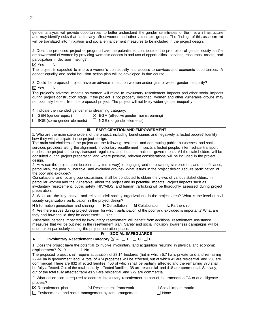| gender analysis will provide opportunities to better understand the gender sensitivities of the metro infrastructure<br>and may identify risks that particularly affect women and other vulnerable groups. The findings of this assessment<br>will be translated into mitigation and social enhancement measures to be included in the project design.                                                                                                                                     |  |  |  |  |
|--------------------------------------------------------------------------------------------------------------------------------------------------------------------------------------------------------------------------------------------------------------------------------------------------------------------------------------------------------------------------------------------------------------------------------------------------------------------------------------------|--|--|--|--|
| 2. Does the proposed project or program have the potential to contribute to the promotion of gender equity and/or<br>empowerment of women by providing women's access to and use of opportunities, services, resources, assets, and<br>participation in decision making?<br>$\boxtimes$ Yes $\Box$ No                                                                                                                                                                                      |  |  |  |  |
| The project is expected to improve women's connectivity and access to services and economic opportunities. A<br>gender equality and social inclusion action plan will be developed in due course.                                                                                                                                                                                                                                                                                          |  |  |  |  |
| 3. Could the proposed project have an adverse impact on women and/or girls or widen gender inequality?<br>⊠ Yes □ No                                                                                                                                                                                                                                                                                                                                                                       |  |  |  |  |
| The project's adverse impacts on women will relate to involuntary resettlement impacts and other social impacts<br>during project construction stage. If the project is not properly designed, women and other vulnerable groups may<br>not optimally benefit from the proposed project. The project will not likely widen gender inequality.                                                                                                                                              |  |  |  |  |
| 4. Indicate the intended gender mainstreaming category:                                                                                                                                                                                                                                                                                                                                                                                                                                    |  |  |  |  |
| $\Box$ GEN (gender equity)<br>$\boxtimes$ EGM (effective gender mainstreaming)                                                                                                                                                                                                                                                                                                                                                                                                             |  |  |  |  |
| $\Box$ SGE (some gender elements)<br>$\Box$ NGE (no gender elements)                                                                                                                                                                                                                                                                                                                                                                                                                       |  |  |  |  |
|                                                                                                                                                                                                                                                                                                                                                                                                                                                                                            |  |  |  |  |
| <b>PARTICIPATION AND EMPOWERMENT</b><br>Ш.                                                                                                                                                                                                                                                                                                                                                                                                                                                 |  |  |  |  |
| 1. Who are the main stakeholders of the project, including beneficiaries and negatively affected people? Identify                                                                                                                                                                                                                                                                                                                                                                          |  |  |  |  |
| how they will participate in the project design.                                                                                                                                                                                                                                                                                                                                                                                                                                           |  |  |  |  |
| The main stakeholders of the project are the following: residents and commuting public; businesses and social                                                                                                                                                                                                                                                                                                                                                                              |  |  |  |  |
| services providers along the alignment; involuntary resettlement impacts affected people; intermediate transport                                                                                                                                                                                                                                                                                                                                                                           |  |  |  |  |
| modes; the project company; transport regulators; and local and national governments. All the stakeholders will be                                                                                                                                                                                                                                                                                                                                                                         |  |  |  |  |
| consulted during project preparation and where possible, relevant considerations will be included in the project                                                                                                                                                                                                                                                                                                                                                                           |  |  |  |  |
| design.<br>2. How can the project contribute (in a systemic way) to engaging and empowering stakeholders and beneficiaries,                                                                                                                                                                                                                                                                                                                                                                |  |  |  |  |
| particularly, the poor, vulnerable, and excluded groups? What issues in the project design require participation of<br>the poor and excluded?                                                                                                                                                                                                                                                                                                                                              |  |  |  |  |
| Consultations and focus group discussions shall be conducted to obtain the views of various stakeholders, in                                                                                                                                                                                                                                                                                                                                                                               |  |  |  |  |
| particular women and the vulnerable, about the project and its potential impacts. Project impacts such as                                                                                                                                                                                                                                                                                                                                                                                  |  |  |  |  |
| involuntary resettlement, public safety, HIV/AIDS, and human trafficking will be thoroughly assessed during project<br>preparation.                                                                                                                                                                                                                                                                                                                                                        |  |  |  |  |
| 3. What are the key, active, and relevant civil society organizations in the project area? What is the level of civil<br>society organization participation in the project design?                                                                                                                                                                                                                                                                                                         |  |  |  |  |
| H Information generation and sharing<br><b>M</b> Collaboration<br><b>H</b> Consultation<br>L Partnership                                                                                                                                                                                                                                                                                                                                                                                   |  |  |  |  |
| 4. Are there issues during project design for which participation of the poor and excluded is important? What are<br>they and how should they be addressed? Yes                                                                                                                                                                                                                                                                                                                            |  |  |  |  |
| Vulnerable persons impacted by involuntary resettlement will benefit from additional resettlement assistance<br>measures that will be outlined in the resettlement plan. Safety and social inclusion awareness campaigns will be                                                                                                                                                                                                                                                           |  |  |  |  |
| undertaken particularly during the project operation phase.                                                                                                                                                                                                                                                                                                                                                                                                                                |  |  |  |  |
| <b>SOCIAL SAFEGUARDS</b><br>IV.                                                                                                                                                                                                                                                                                                                                                                                                                                                            |  |  |  |  |
| Involuntary Resettlement Category $\boxtimes$ A $\Box$ B<br>$\sqcup$ C $\sqcup$ FI<br>Α.                                                                                                                                                                                                                                                                                                                                                                                                   |  |  |  |  |
| 1. Does the project have the potential to involve involuntary land acquisition resulting in physical and economic<br>displacement? $\boxtimes$ Yes<br>l I No                                                                                                                                                                                                                                                                                                                               |  |  |  |  |
| The proposed project shall require acquisition of 28.14 hectares (ha) in which 5.7 ha is private land and remaining<br>22.44 ha is government land. A total of 474 properties will be affected, out of which 42 are residential and 258 are<br>commercial. There are 832 affected families: 456 of which shall be partially affected and the remaining 376 shall<br>be fully affected. Out of the total partially affected families, 38 are residential and 418 are commercial. Similarly, |  |  |  |  |
| out of the total fully affected families 97 are residential and 279 are commercial.<br>2. What action plan is required to address involuntary resettlement as part of the transaction TA or due diligence                                                                                                                                                                                                                                                                                  |  |  |  |  |
| process?                                                                                                                                                                                                                                                                                                                                                                                                                                                                                   |  |  |  |  |
| $\boxtimes$ Resettlement framework<br>$\boxtimes$ Resettlement plan<br>Social impact matrix<br>Environmental and social management system arrangement<br>None                                                                                                                                                                                                                                                                                                                              |  |  |  |  |